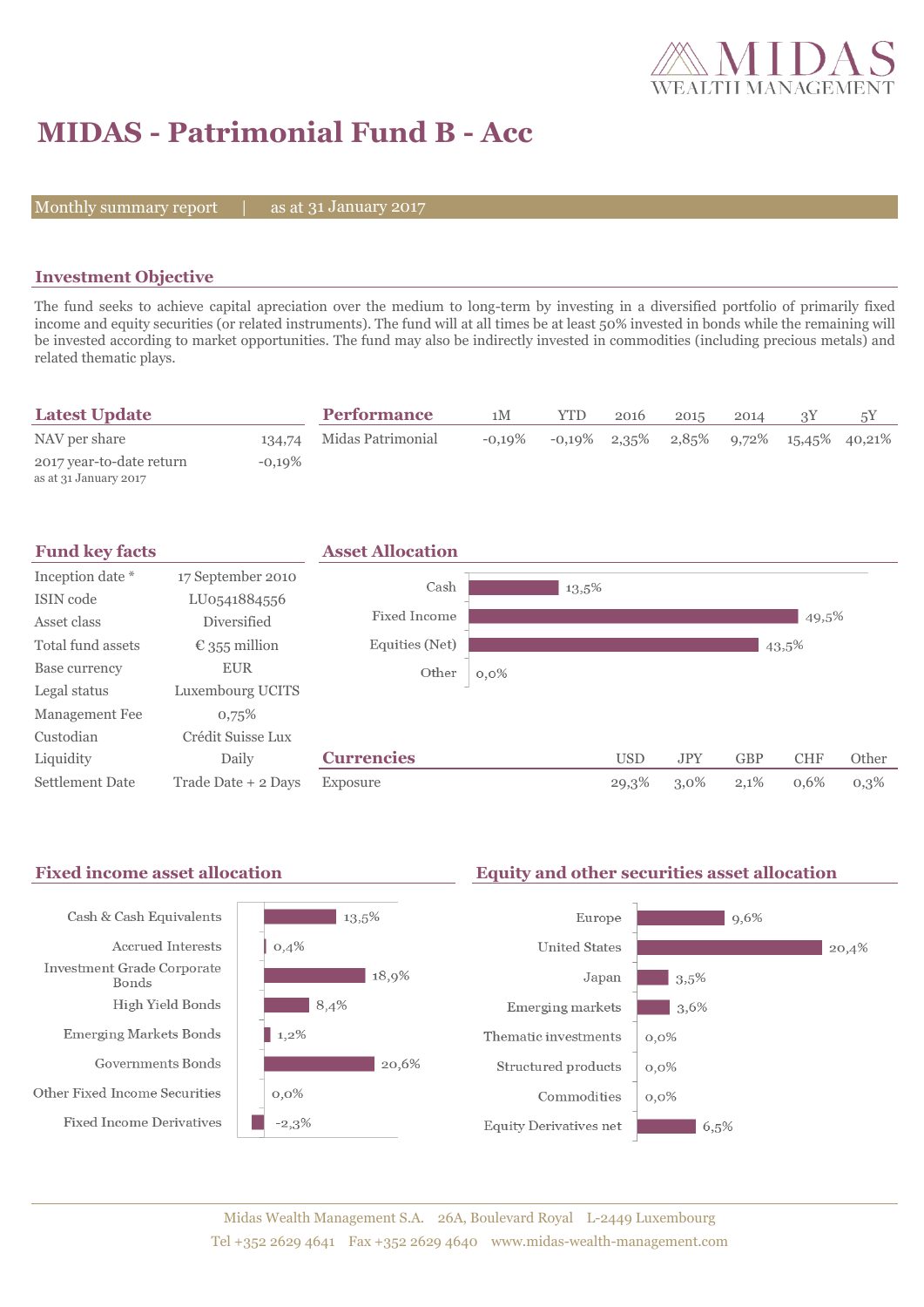

# **MIDAS - Patrimonial Fund B - Acc**

Monthly summary report  $|$ 

31 January 2017

### **Investment Objective**

The fund seeks to achieve capital apreciation over the medium to long-term by investing in a diversified portfolio of primarily fixed income and equity securities (or related instruments). The fund will at all times be at least 50% invested in bonds while the remaining will be invested according to market opportunities. The fund may also be indirectly invested in commodities (including precious metals) and related thematic plays.

| <b>Latest Update</b>                              |          | <b>Performance</b> | 1M        | YTD | 2016            | 2015  | 2014 |                        |  |
|---------------------------------------------------|----------|--------------------|-----------|-----|-----------------|-------|------|------------------------|--|
| NAV per share                                     | 134.74   | Midas Patrimonial  | $-0.19\%$ |     | $-0.19\%$ 2.35% | 2,85% |      | $9,72\%$ 15,45% 40,21% |  |
| 2017 year-to-date return<br>as at 31 January 2017 | $-0.19%$ |                    |           |     |                 |       |      |                        |  |





## Fixed income asset allocation **Equity and other securities asset allocation**

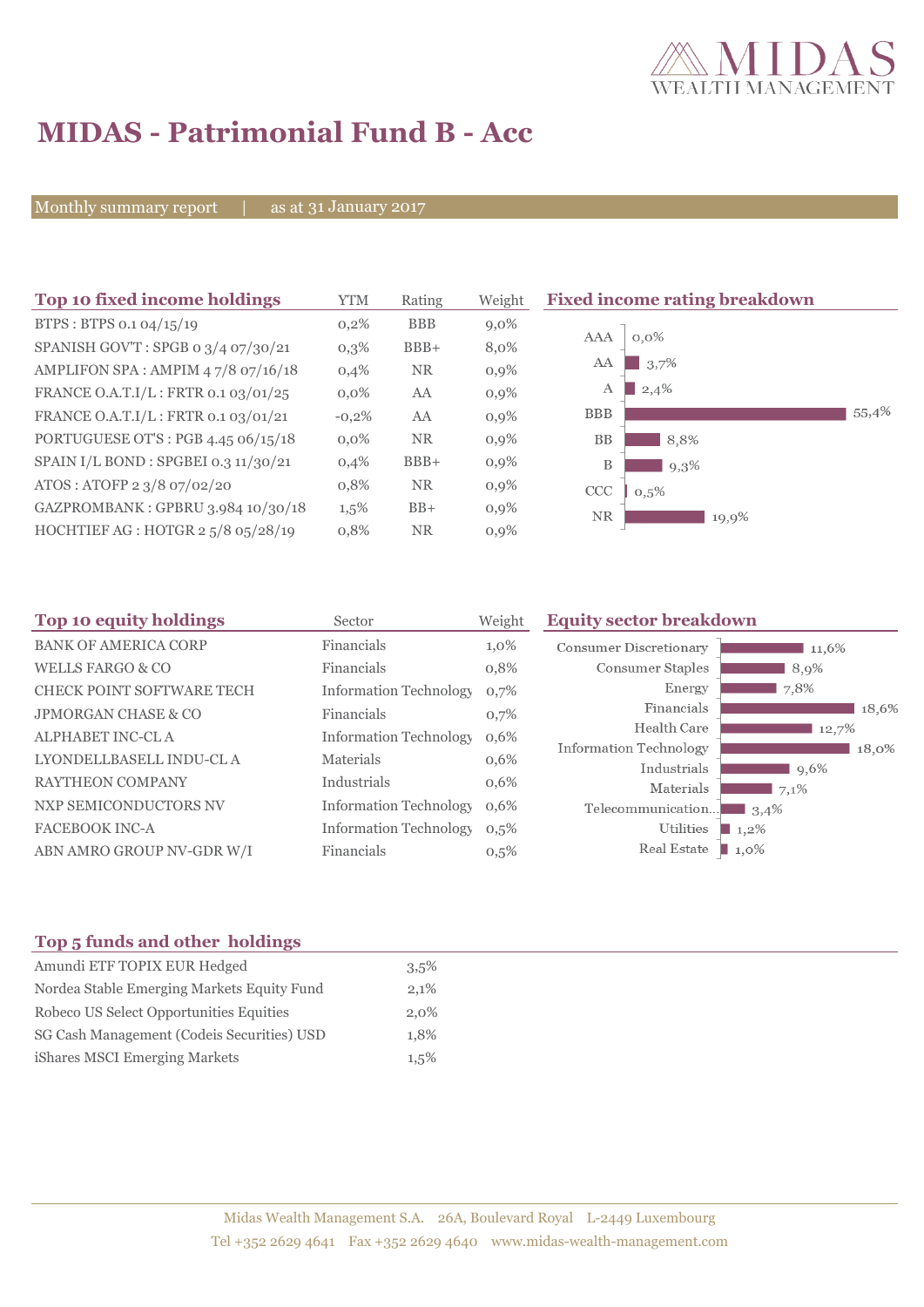

# **MIDAS - Patrimonial Fund B - Acc**

Monthly summary report | as at 31 January 2017

| Top 10 fixed income holdings         | YTM     | Weight<br>Rating |         | <b>Fixed income rating breakdown</b> |
|--------------------------------------|---------|------------------|---------|--------------------------------------|
| BTPS: BTPS 0.1 04/15/19              | 0,2%    | <b>BBB</b>       | $9,0\%$ |                                      |
| SPANISH GOV'T: SPGB 0 3/4 07/30/21   | $0,3\%$ | $BBB+$           | 8,0%    | $0,0\%$<br>AAA                       |
| AMPLIFON SPA: AMPIM 47/8 07/16/18    | 0,4%    | <b>NR</b>        | $0,9\%$ | 3,7%<br>AA                           |
| FRANCE O.A.T.I/L: FRTR 0.1 03/01/25  | $0.0\%$ | AA               | $0,9\%$ | 2,4%<br>А                            |
| FRANCE O.A.T.I/L: FRTR 0.1 03/01/21  | $-0,2%$ | AA               | 0,9%    | 55,4%<br><b>BBB</b>                  |
| PORTUGUESE OT'S : PGB 4.45 06/15/18  | $0.0\%$ | <b>NR</b>        | $0,9\%$ | <b>BB</b><br>8,8%                    |
| SPAIN I/L BOND : SPGBEI 0.3 11/30/21 | 0,4%    | $BBB+$           | $0,9\%$ | B<br>9,3%                            |
| ATOS: ATOFP 2 3/8 07/02/20           | 0,8%    | <b>NR</b>        | $0,9\%$ | CCC<br>0.5%                          |
| GAZPROMBANK: GPBRU 3.984 10/30/18    | $1,5\%$ | $BB+$            | $0,9\%$ | <b>NR</b><br>19,9%                   |
| HOCHTIEF AG : HOTGR 2 5/8 05/28/19   | 0,8%    | <b>NR</b>        | $0,9\%$ |                                      |

| Top 10 equity holdings           | Sector                        | Weight  | <b>Equity sector breakdown</b>        |                 |
|----------------------------------|-------------------------------|---------|---------------------------------------|-----------------|
| <b>BANK OF AMERICA CORP</b>      | Financials                    | $1,0\%$ | Consumer Discretionary                | 11,6%           |
| <b>WELLS FARGO &amp; CO</b>      | Financials                    | 0,8%    | Consumer Staples                      | 8,9%            |
| <b>CHECK POINT SOFTWARE TECH</b> | <b>Information Technology</b> | 0,7%    | Energy                                | 7,8%            |
| <b>JPMORGAN CHASE &amp; CO</b>   | Financials                    | 0,7%    | Financials                            | 18,6%           |
| ALPHABET INC-CLA                 | <b>Information Technology</b> | 0,6%    | Health Care                           | 12,7%           |
| LYONDELLBASELL INDU-CL A         | <b>Materials</b>              | 0,6%    | Information Technology<br>Industrials | 18.0%           |
| <b>RAYTHEON COMPANY</b>          | Industrials                   | 0,6%    | Materials                             | $9,6\%$<br>7,1% |
| NXP SEMICONDUCTORS NV            | <b>Information Technology</b> | 0,6%    | Telecommunication                     | $\Box$ 3.4%     |
| <b>FACEBOOK INC-A</b>            | <b>Information Technology</b> | 0,5%    | Utilities                             | $1,2\%$         |
| ABN AMRO GROUP NV-GDR W/I        | Financials                    | 0,5%    | Real Estate                           | 1,0%            |

# **Top 5 funds and other holdings**

| Amundi ETF TOPIX EUR Hedged                | $3.5\%$ |
|--------------------------------------------|---------|
| Nordea Stable Emerging Markets Equity Fund | 2,1%    |
| Robeco US Select Opportunities Equities    | 2,0%    |
| SG Cash Management (Codeis Securities) USD | 1.8%    |
| iShares MSCI Emerging Markets              | $1.5\%$ |